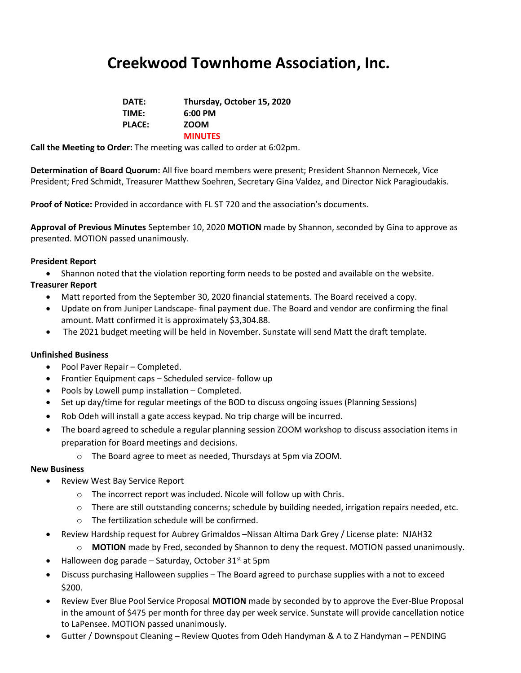## **Creekwood Townhome Association, Inc.**

| DATE:         | Thursday, October 15, 2020 |
|---------------|----------------------------|
| TIME:         | $6:00$ PM                  |
| <b>PLACE:</b> | <b>ZOOM</b>                |
|               | <b>MINUTES</b>             |

**Call the Meeting to Order:** The meeting was called to order at 6:02pm.

**Determination of Board Quorum:** All five board members were present; President Shannon Nemecek, Vice President; Fred Schmidt, Treasurer Matthew Soehren, Secretary Gina Valdez, and Director Nick Paragioudakis.

**Proof of Notice:** Provided in accordance with FL ST 720 and the association's documents.

**Approval of Previous Minutes** September 10, 2020 **MOTION** made by Shannon, seconded by Gina to approve as presented. MOTION passed unanimously.

#### **President Report**

• Shannon noted that the violation reporting form needs to be posted and available on the website.

#### **Treasurer Report**

- Matt reported from the September 30, 2020 financial statements. The Board received a copy.
- Update on from Juniper Landscape- final payment due. The Board and vendor are confirming the final amount. Matt confirmed it is approximately \$3,304.88.
- The 2021 budget meeting will be held in November. Sunstate will send Matt the draft template.

#### **Unfinished Business**

- Pool Paver Repair Completed.
- Frontier Equipment caps Scheduled service- follow up
- Pools by Lowell pump installation Completed.
- Set up day/time for regular meetings of the BOD to discuss ongoing issues (Planning Sessions)
- Rob Odeh will install a gate access keypad. No trip charge will be incurred.
- The board agreed to schedule a regular planning session ZOOM workshop to discuss association items in preparation for Board meetings and decisions.
	- o The Board agree to meet as needed, Thursdays at 5pm via ZOOM.

#### **New Business**

- Review West Bay Service Report
	- o The incorrect report was included. Nicole will follow up with Chris.
	- o There are still outstanding concerns; schedule by building needed, irrigation repairs needed, etc.
	- o The fertilization schedule will be confirmed.
- Review Hardship request for Aubrey Grimaldos Nissan Altima Dark Grey / License plate: NJAH32
	- o **MOTION** made by Fred, seconded by Shannon to deny the request. MOTION passed unanimously.
- Halloween dog parade Saturday, October 31 $st$  at 5pm
- Discuss purchasing Halloween supplies The Board agreed to purchase supplies with a not to exceed \$200.
- Review Ever Blue Pool Service Proposal **MOTION** made by seconded by to approve the Ever-Blue Proposal in the amount of \$475 per month for three day per week service. Sunstate will provide cancellation notice to LaPensee. MOTION passed unanimously.
- Gutter / Downspout Cleaning Review Quotes from Odeh Handyman & A to Z Handyman PENDING